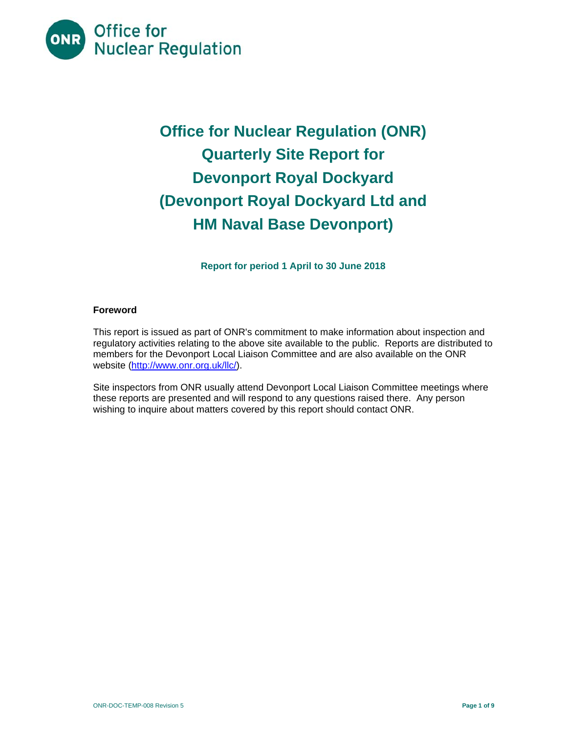

# **Office for Nuclear Regulation (ONR) Quarterly Site Report for Devonport Royal Dockyard (Devonport Royal Dockyard Ltd and HM Naval Base Devonport)**

**Report for period 1 April to 30 June 2018** 

## **Foreword**

This report is issued as part of ONR's commitment to make information about inspection and regulatory activities relating to the above site available to the public. Reports are distributed to members for the Devonport Local Liaison Committee and are also available on the ONR website (http://www.onr.org.uk/llc/).

Site inspectors from ONR usually attend Devonport Local Liaison Committee meetings where these reports are presented and will respond to any questions raised there. Any person wishing to inquire about matters covered by this report should contact ONR.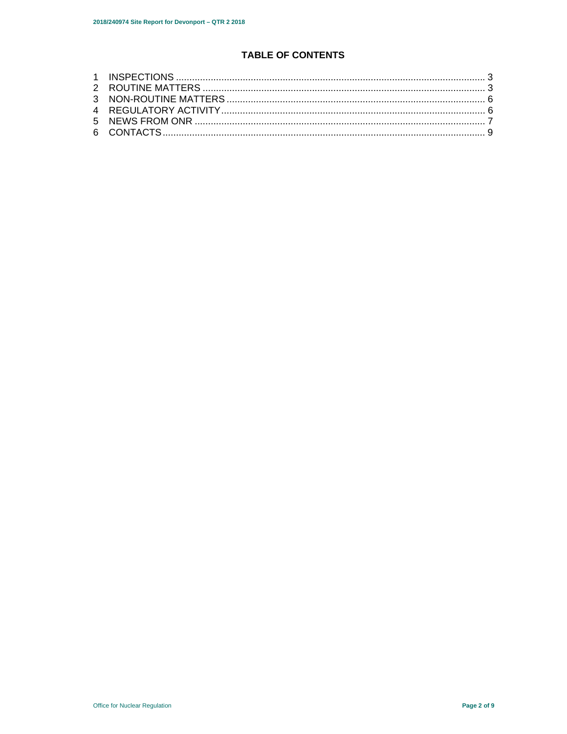## **TABLE OF CONTENTS**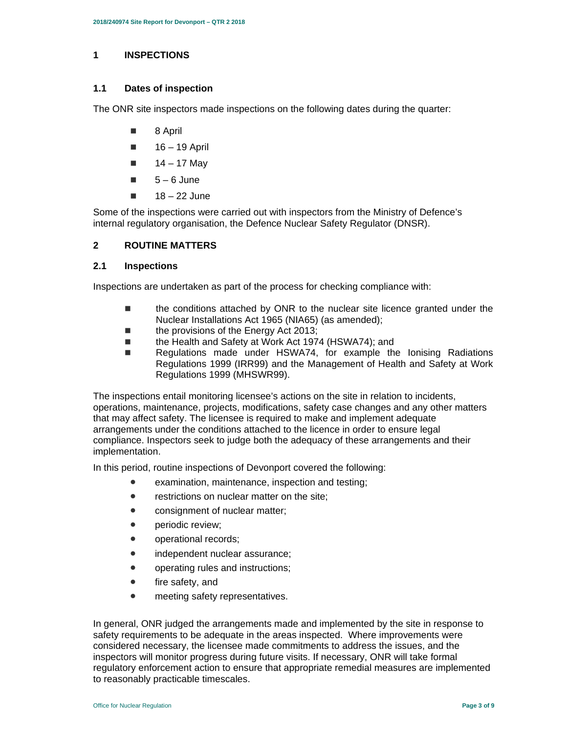#### **1 INSPECTIONS**

#### **1.1 Dates of inspection**

The ONR site inspectors made inspections on the following dates during the quarter:

- 8 April
- $16 19$  April
- $14 17$  May
- $\blacksquare$  5 6 June
- $18 22$  June

Some of the inspections were carried out with inspectors from the Ministry of Defence's internal regulatory organisation, the Defence Nuclear Safety Regulator (DNSR).

## **2 ROUTINE MATTERS**

#### **2.1 Inspections**

Inspections are undertaken as part of the process for checking compliance with:

- the conditions attached by ONR to the nuclear site licence granted under the Nuclear Installations Act 1965 (NIA65) (as amended);
- the provisions of the Energy Act 2013;
- the Health and Safety at Work Act 1974 (HSWA74); and
- Regulations made under HSWA74, for example the lonising Radiations Regulations 1999 (IRR99) and the Management of Health and Safety at Work Regulations 1999 (MHSWR99).

The inspections entail monitoring licensee's actions on the site in relation to incidents, operations, maintenance, projects, modifications, safety case changes and any other matters that may affect safety. The licensee is required to make and implement adequate arrangements under the conditions attached to the licence in order to ensure legal compliance. Inspectors seek to judge both the adequacy of these arrangements and their implementation.

In this period, routine inspections of Devonport covered the following:

- examination, maintenance, inspection and testing;
- restrictions on nuclear matter on the site:
- consignment of nuclear matter;
- periodic review;
- operational records;
- independent nuclear assurance;
- operating rules and instructions;
- fire safety, and
- **•** meeting safety representatives.

In general, ONR judged the arrangements made and implemented by the site in response to safety requirements to be adequate in the areas inspected. Where improvements were considered necessary, the licensee made commitments to address the issues, and the inspectors will monitor progress during future visits. If necessary, ONR will take formal regulatory enforcement action to ensure that appropriate remedial measures are implemented to reasonably practicable timescales.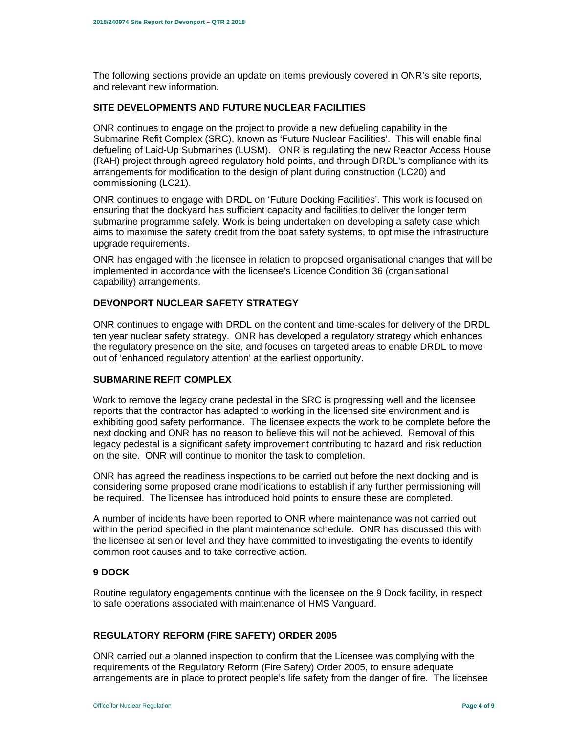The following sections provide an update on items previously covered in ONR's site reports, and relevant new information.

## **SITE DEVELOPMENTS AND FUTURE NUCLEAR FACILITIES**

ONR continues to engage on the project to provide a new defueling capability in the Submarine Refit Complex (SRC), known as 'Future Nuclear Facilities'. This will enable final defueling of Laid-Up Submarines (LUSM). ONR is regulating the new Reactor Access House (RAH) project through agreed regulatory hold points, and through DRDL's compliance with its arrangements for modification to the design of plant during construction (LC20) and commissioning (LC21).

ONR continues to engage with DRDL on 'Future Docking Facilities'. This work is focused on ensuring that the dockyard has sufficient capacity and facilities to deliver the longer term submarine programme safely. Work is being undertaken on developing a safety case which aims to maximise the safety credit from the boat safety systems, to optimise the infrastructure upgrade requirements.

ONR has engaged with the licensee in relation to proposed organisational changes that will be implemented in accordance with the licensee's Licence Condition 36 (organisational capability) arrangements.

#### **DEVONPORT NUCLEAR SAFETY STRATEGY**

ONR continues to engage with DRDL on the content and time-scales for delivery of the DRDL ten year nuclear safety strategy. ONR has developed a regulatory strategy which enhances the regulatory presence on the site, and focuses on targeted areas to enable DRDL to move out of 'enhanced regulatory attention' at the earliest opportunity.

#### **SUBMARINE REFIT COMPLEX**

Work to remove the legacy crane pedestal in the SRC is progressing well and the licensee reports that the contractor has adapted to working in the licensed site environment and is exhibiting good safety performance. The licensee expects the work to be complete before the next docking and ONR has no reason to believe this will not be achieved. Removal of this legacy pedestal is a significant safety improvement contributing to hazard and risk reduction on the site. ONR will continue to monitor the task to completion.

ONR has agreed the readiness inspections to be carried out before the next docking and is considering some proposed crane modifications to establish if any further permissioning will be required. The licensee has introduced hold points to ensure these are completed.

A number of incidents have been reported to ONR where maintenance was not carried out within the period specified in the plant maintenance schedule. ONR has discussed this with the licensee at senior level and they have committed to investigating the events to identify common root causes and to take corrective action.

## **9 DOCK**

Routine regulatory engagements continue with the licensee on the 9 Dock facility, in respect to safe operations associated with maintenance of HMS Vanguard.

#### **REGULATORY REFORM (FIRE SAFETY) ORDER 2005**

ONR carried out a planned inspection to confirm that the Licensee was complying with the requirements of the Regulatory Reform (Fire Safety) Order 2005, to ensure adequate arrangements are in place to protect people's life safety from the danger of fire. The licensee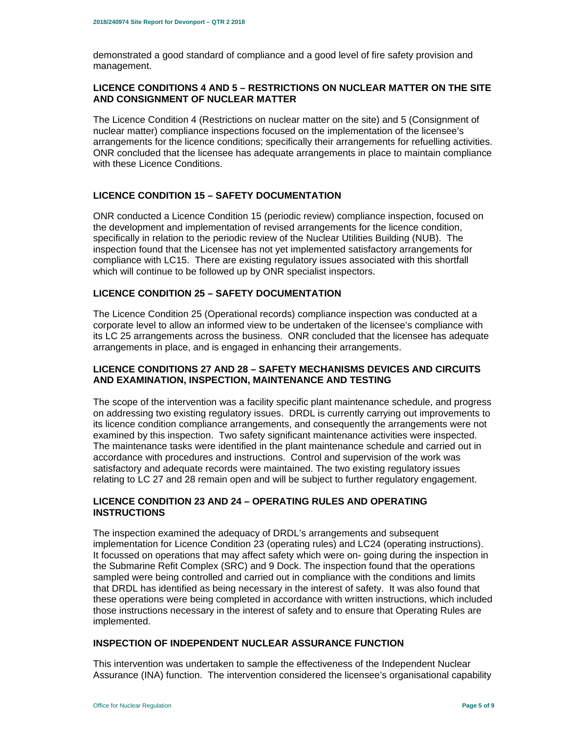demonstrated a good standard of compliance and a good level of fire safety provision and management.

## **LICENCE CONDITIONS 4 AND 5 – RESTRICTIONS ON NUCLEAR MATTER ON THE SITE AND CONSIGNMENT OF NUCLEAR MATTER**

The Licence Condition 4 (Restrictions on nuclear matter on the site) and 5 (Consignment of nuclear matter) compliance inspections focused on the implementation of the licensee's arrangements for the licence conditions; specifically their arrangements for refuelling activities. ONR concluded that the licensee has adequate arrangements in place to maintain compliance with these Licence Conditions.

## **LICENCE CONDITION 15 – SAFETY DOCUMENTATION**

ONR conducted a Licence Condition 15 (periodic review) compliance inspection, focused on the development and implementation of revised arrangements for the licence condition, specifically in relation to the periodic review of the Nuclear Utilities Building (NUB). The inspection found that the Licensee has not yet implemented satisfactory arrangements for compliance with LC15. There are existing regulatory issues associated with this shortfall which will continue to be followed up by ONR specialist inspectors.

#### **LICENCE CONDITION 25 – SAFETY DOCUMENTATION**

The Licence Condition 25 (Operational records) compliance inspection was conducted at a corporate level to allow an informed view to be undertaken of the licensee's compliance with its LC 25 arrangements across the business. ONR concluded that the licensee has adequate arrangements in place, and is engaged in enhancing their arrangements.

## **LICENCE CONDITIONS 27 AND 28 – SAFETY MECHANISMS DEVICES AND CIRCUITS AND EXAMINATION, INSPECTION, MAINTENANCE AND TESTING**

The scope of the intervention was a facility specific plant maintenance schedule, and progress on addressing two existing regulatory issues. DRDL is currently carrying out improvements to its licence condition compliance arrangements, and consequently the arrangements were not examined by this inspection. Two safety significant maintenance activities were inspected. The maintenance tasks were identified in the plant maintenance schedule and carried out in accordance with procedures and instructions. Control and supervision of the work was satisfactory and adequate records were maintained. The two existing regulatory issues relating to LC 27 and 28 remain open and will be subject to further regulatory engagement.

## **LICENCE CONDITION 23 AND 24 – OPERATING RULES AND OPERATING INSTRUCTIONS**

The inspection examined the adequacy of DRDL's arrangements and subsequent implementation for Licence Condition 23 (operating rules) and LC24 (operating instructions). It focussed on operations that may affect safety which were on- going during the inspection in the Submarine Refit Complex (SRC) and 9 Dock. The inspection found that the operations sampled were being controlled and carried out in compliance with the conditions and limits that DRDL has identified as being necessary in the interest of safety. It was also found that these operations were being completed in accordance with written instructions, which included those instructions necessary in the interest of safety and to ensure that Operating Rules are implemented.

## **INSPECTION OF INDEPENDENT NUCLEAR ASSURANCE FUNCTION**

This intervention was undertaken to sample the effectiveness of the Independent Nuclear Assurance (INA) function. The intervention considered the licensee's organisational capability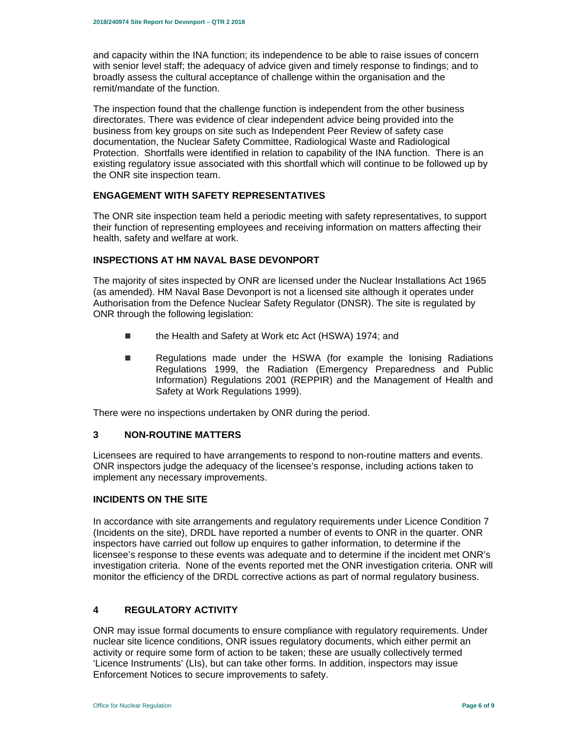and capacity within the INA function; its independence to be able to raise issues of concern with senior level staff; the adequacy of advice given and timely response to findings; and to broadly assess the cultural acceptance of challenge within the organisation and the remit/mandate of the function.

The inspection found that the challenge function is independent from the other business directorates. There was evidence of clear independent advice being provided into the business from key groups on site such as Independent Peer Review of safety case documentation, the Nuclear Safety Committee, Radiological Waste and Radiological Protection. Shortfalls were identified in relation to capability of the INA function. There is an existing regulatory issue associated with this shortfall which will continue to be followed up by the ONR site inspection team.

#### **ENGAGEMENT WITH SAFETY REPRESENTATIVES**

The ONR site inspection team held a periodic meeting with safety representatives, to support their function of representing employees and receiving information on matters affecting their health, safety and welfare at work.

## **INSPECTIONS AT HM NAVAL BASE DEVONPORT**

The majority of sites inspected by ONR are licensed under the Nuclear Installations Act 1965 (as amended). HM Naval Base Devonport is not a licensed site although it operates under Authorisation from the Defence Nuclear Safety Regulator (DNSR). The site is regulated by ONR through the following legislation:

- the Health and Safety at Work etc Act (HSWA) 1974; and
- **Regulations made under the HSWA (for example the Ionising Radiations** Regulations 1999, the Radiation (Emergency Preparedness and Public Information) Regulations 2001 (REPPIR) and the Management of Health and Safety at Work Regulations 1999).

There were no inspections undertaken by ONR during the period.

## **3 NON-ROUTINE MATTERS**

Licensees are required to have arrangements to respond to non-routine matters and events. ONR inspectors judge the adequacy of the licensee's response, including actions taken to implement any necessary improvements.

## **INCIDENTS ON THE SITE**

In accordance with site arrangements and regulatory requirements under Licence Condition 7 (Incidents on the site), DRDL have reported a number of events to ONR in the quarter. ONR inspectors have carried out follow up enquires to gather information, to determine if the licensee's response to these events was adequate and to determine if the incident met ONR's investigation criteria. None of the events reported met the ONR investigation criteria. ONR will monitor the efficiency of the DRDL corrective actions as part of normal regulatory business.

#### **4 REGULATORY ACTIVITY**

ONR may issue formal documents to ensure compliance with regulatory requirements. Under nuclear site licence conditions, ONR issues regulatory documents, which either permit an activity or require some form of action to be taken; these are usually collectively termed 'Licence Instruments' (LIs), but can take other forms. In addition, inspectors may issue Enforcement Notices to secure improvements to safety.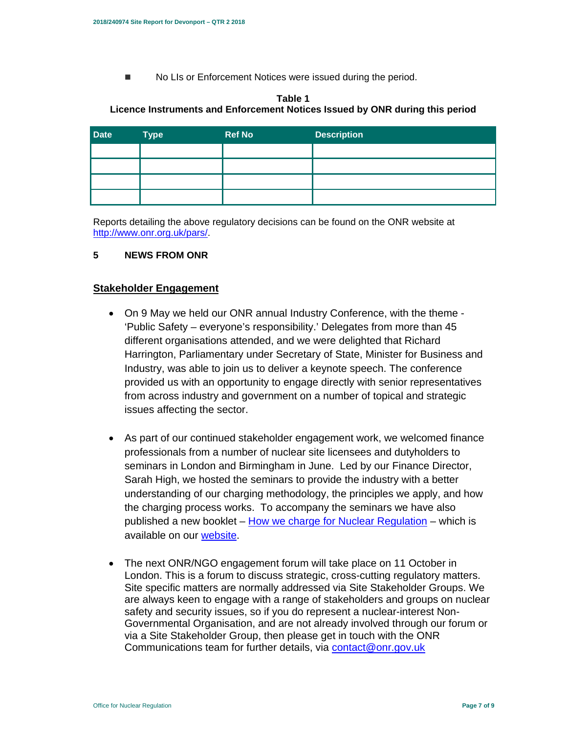■ No LIs or Enforcement Notices were issued during the period.

## **Table 1 Licence Instruments and Enforcement Notices Issued by ONR during this period**

| <b>Date</b> | <b>Type</b> | <b>Ref No</b> | <b>Description</b> |
|-------------|-------------|---------------|--------------------|
|             |             |               |                    |
|             |             |               |                    |
|             |             |               |                    |
|             |             |               |                    |

Reports detailing the above regulatory decisions can be found on the ONR website at http://www.onr.org.uk/pars/.

## **5 NEWS FROM ONR**

## **Stakeholder Engagement**

- On 9 May we held our ONR annual Industry Conference, with the theme 'Public Safety – everyone's responsibility.' Delegates from more than 45 different organisations attended, and we were delighted that Richard Harrington, Parliamentary under Secretary of State, Minister for Business and Industry, was able to join us to deliver a keynote speech. The conference provided us with an opportunity to engage directly with senior representatives from across industry and government on a number of topical and strategic issues affecting the sector.
- As part of our continued stakeholder engagement work, we welcomed finance professionals from a number of nuclear site licensees and dutyholders to seminars in London and Birmingham in June. Led by our Finance Director, Sarah High, we hosted the seminars to provide the industry with a better understanding of our charging methodology, the principles we apply, and how the charging process works. To accompany the seminars we have also published a new booklet – How we charge for Nuclear Regulation – which is available on our website.
- The next ONR/NGO engagement forum will take place on 11 October in London. This is a forum to discuss strategic, cross-cutting regulatory matters. Site specific matters are normally addressed via Site Stakeholder Groups. We are always keen to engage with a range of stakeholders and groups on nuclear safety and security issues, so if you do represent a nuclear-interest Non-Governmental Organisation, and are not already involved through our forum or via a Site Stakeholder Group, then please get in touch with the ONR Communications team for further details, via contact@onr.gov.uk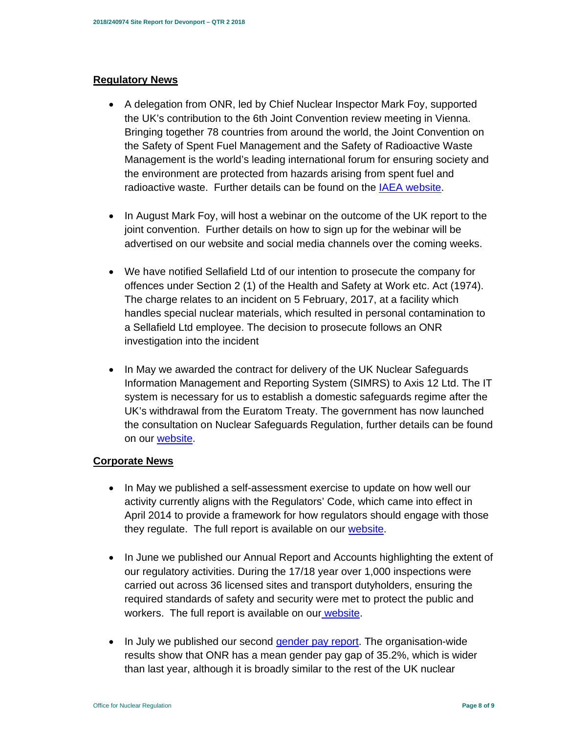# **Regulatory News**

- A delegation from ONR, led by Chief Nuclear Inspector Mark Foy, supported the UK's contribution to the 6th Joint Convention review meeting in Vienna. Bringing together 78 countries from around the world, the Joint Convention on the Safety of Spent Fuel Management and the Safety of Radioactive Waste Management is the world's leading international forum for ensuring society and the environment are protected from hazards arising from spent fuel and radioactive waste. Further details can be found on the IAEA website.
- In August Mark Foy, will host a webinar on the outcome of the UK report to the joint convention. Further details on how to sign up for the webinar will be advertised on our website and social media channels over the coming weeks.
- We have notified Sellafield Ltd of our intention to prosecute the company for offences under Section 2 (1) of the Health and Safety at Work etc. Act (1974). The charge relates to an incident on 5 February, 2017, at a facility which handles special nuclear materials, which resulted in personal contamination to a Sellafield Ltd employee. The decision to prosecute follows an ONR investigation into the incident
- In May we awarded the contract for delivery of the UK Nuclear Safeguards Information Management and Reporting System (SIMRS) to Axis 12 Ltd. The IT system is necessary for us to establish a domestic safeguards regime after the UK's withdrawal from the Euratom Treaty. The government has now launched the consultation on Nuclear Safeguards Regulation, further details can be found on our **website**.

# **Corporate News**

- In May we published a self-assessment exercise to update on how well our activity currently aligns with the Regulators' Code, which came into effect in April 2014 to provide a framework for how regulators should engage with those they regulate. The full report is available on our website.
- In June we published our Annual Report and Accounts highlighting the extent of our regulatory activities. During the 17/18 year over 1,000 inspections were carried out across 36 licensed sites and transport dutyholders, ensuring the required standards of safety and security were met to protect the public and workers. The full report is available on our website.
- In July we published our second *gender pay report*. The organisation-wide results show that ONR has a mean gender pay gap of 35.2%, which is wider than last year, although it is broadly similar to the rest of the UK nuclear